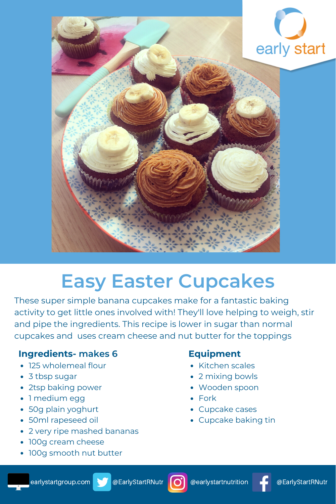

# **Easy Easter Cupcakes**

These super simple banana cupcakes make for a fantastic baking activity to get little ones involved with! They'll love helping to weigh, stir and pipe the ingredients. This recipe is lower in sugar than normal cupcakes and uses cream cheese and nut butter for the toppings

## **Ingredients- makes 6**

- 125 wholemeal flour
- 3 tbsp sugar
- 2tsp baking power
- 1 medium egg
- 50g plain yoghurt
- 50ml rapeseed oil
- 2 very ripe mashed bananas
- 100g cream cheese
- 100g smooth nut butter

# **Equipment**

- Kitchen scales
- 2 mixing bowls
- Wooden spoon
- Fork
- Cupcake cases
- Cupcake baking tin